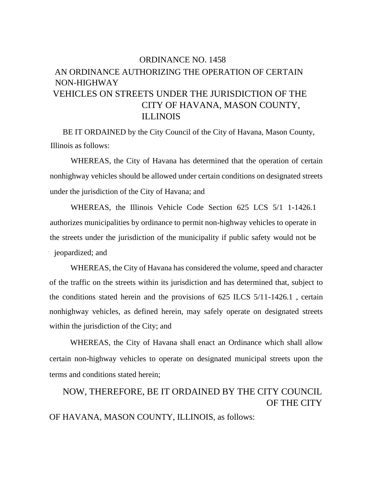## ORDINANCE NO. 1458 AN ORDINANCE AUTHORIZING THE OPERATION OF CERTAIN NON-HIGHWAY VEHICLES ON STREETS UNDER THE JURISDICTION OF THE CITY OF HAVANA, MASON COUNTY, ILLINOIS

BE IT ORDAINED by the City Council of the City of Havana, Mason County, Illinois as follows:

WHEREAS, the City of Havana has determined that the operation of certain nonhighway vehicles should be allowed under certain conditions on designated streets under the jurisdiction of the City of Havana; and

WHEREAS, the Illinois Vehicle Code Section 625 LCS 5/1 1-1426.1 authorizes municipalities by ordinance to permit non-highway vehicles to operate in the streets under the jurisdiction of the municipality if public safety would not be iverside is a identically interested: and

WHEREAS, the City of Havana has considered the volume, speed and character of the traffic on the streets within its jurisdiction and has determined that, subject to the conditions stated herein and the provisions of 625 ILCS 5/11-1426.1 , certain nonhighway vehicles, as defined herein, may safely operate on designated streets within the jurisdiction of the City; and

WHEREAS, the City of Havana shall enact an Ordinance which shall allow certain non-highway vehicles to operate on designated municipal streets upon the terms and conditions stated herein;

## NOW, THEREFORE, BE IT ORDAINED BY THE CITY COUNCIL OF THE CITY

OF HAVANA, MASON COUNTY, ILLINOIS, as follows: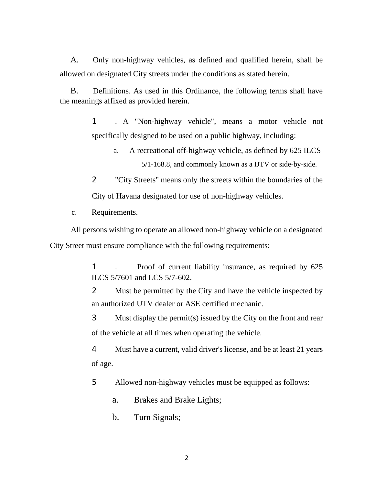A. Only non-highway vehicles, as defined and qualified herein, shall be allowed on designated City streets under the conditions as stated herein.

B. Definitions. As used in this Ordinance, the following terms shall have the meanings affixed as provided herein.

> 1 . A "Non-highway vehicle", means a motor vehicle not specifically designed to be used on a public highway, including:

> > a. A recreational off-highway vehicle, as defined by 625 ILCS 5/1-168.8, and commonly known as a IJTV or side-by-side.

2 "City Streets" means only the streets within the boundaries of the City of Havana designated for use of non-highway vehicles.

c. Requirements.

All persons wishing to operate an allowed non-highway vehicle on a designated City Street must ensure compliance with the following requirements:

> 1 . Proof of current liability insurance, as required by 625 ILCS 5/7601 and LCS 5/7-602.

> 2 Must be permitted by the City and have the vehicle inspected by an authorized UTV dealer or ASE certified mechanic.

> 3 Must display the permit(s) issued by the City on the front and rear of the vehicle at all times when operating the vehicle.

> 4 Must have a current, valid driver's license, and be at least 21 years of age.

5 Allowed non-highway vehicles must be equipped as follows:

a. Brakes and Brake Lights;

b. Turn Signals;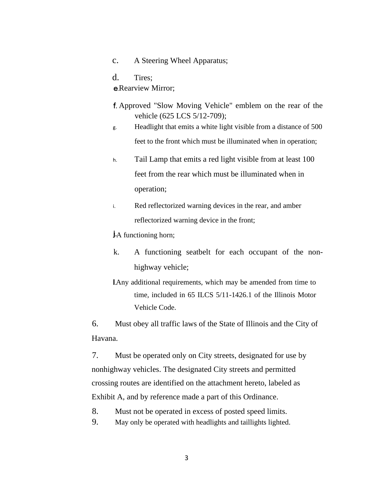- c. A Steering Wheel Apparatus;
- d. Tires;

**e**. Rearview Mirror:

- Approved "Slow Moving Vehicle" emblem on the rear of the vehicle (625 LCS 5/12-709);
- g. Headlight that emits a white light visible from a distance of 500 feet to the front which must be illuminated when in operation;
- h. Tail Lamp that emits a red light visible from at least 100 feet from the rear which must be illuminated when in operation;
- i. Red reflectorized warning devices in the rear, and amber reflectorized warning device in the front;

**j**-A functioning horn;

- k. A functioning seatbelt for each occupant of the nonhighway vehicle;
- Any additional requirements, which may be amended from time to time, included in 65 ILCS 5/11-1426.1 of the Illinois Motor Vehicle Code.

6. Must obey all traffic laws of the State of Illinois and the City of Havana.

7. Must be operated only on City streets, designated for use by nonhighway vehicles. The designated City streets and permitted crossing routes are identified on the attachment hereto, labeled as Exhibit A, and by reference made a part of this Ordinance.

- 8. Must not be operated in excess of posted speed limits.
- 9. May only be operated with headlights and taillights lighted.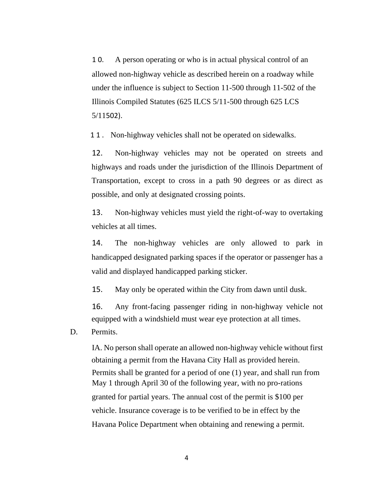1 0. A person operating or who is in actual physical control of an allowed non-highway vehicle as described herein on a roadway while under the influence is subject to Section 11-500 through 11-502 of the Illinois Compiled Statutes (625 ILCS 5/11-500 through 625 LCS 5/11502).

11. Non-highway vehicles shall not be operated on sidewalks.

12. Non-highway vehicles may not be operated on streets and highways and roads under the jurisdiction of the Illinois Department of Transportation, except to cross in a path 90 degrees or as direct as possible, and only at designated crossing points.

13. Non-highway vehicles must yield the right-of-way to overtaking vehicles at all times.

14. The non-highway vehicles are only allowed to park in handicapped designated parking spaces if the operator or passenger has a valid and displayed handicapped parking sticker.

15. May only be operated within the City from dawn until dusk.

16. Any front-facing passenger riding in non-highway vehicle not equipped with a windshield must wear eye protection at all times.

D. Permits.

IA. No person shall operate an allowed non-highway vehicle without first obtaining a permit from the Havana City Hall as provided herein. Permits shall be granted for a period of one (1) year, and shall run from May 1 through April 30 of the following year, with no pro-rations granted for partial years. The annual cost of the permit is \$100 per vehicle. Insurance coverage is to be verified to be in effect by the Havana Police Department when obtaining and renewing a permit.

4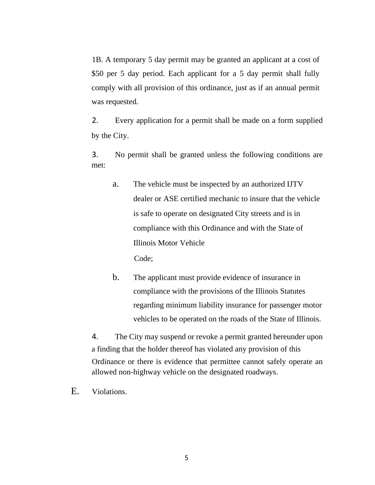1B. A temporary 5 day permit may be granted an applicant at a cost of \$50 per 5 day period. Each applicant for a 5 day permit shall fully comply with all provision of this ordinance, just as if an annual permit was requested.

2. Every application for a permit shall be made on a form supplied by the City.

3. No permit shall be granted unless the following conditions are met:

a. The vehicle must be inspected by an authorized IJTV dealer or ASE certified mechanic to insure that the vehicle is safe to operate on designated City streets and is in compliance with this Ordinance and with the State of Illinois Motor Vehicle

Code;

b. The applicant must provide evidence of insurance in compliance with the provisions of the Illinois Statutes regarding minimum liability insurance for passenger motor vehicles to be operated on the roads of the State of Illinois.

4. The City may suspend or revoke a permit granted hereunder upon a finding that the holder thereof has violated any provision of this Ordinance or there is evidence that permittee cannot safely operate an allowed non-highway vehicle on the designated roadways.

E. Violations.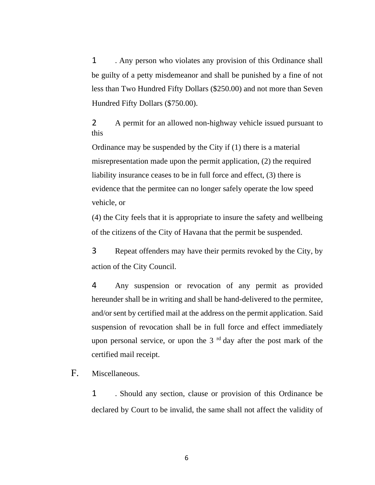1 . Any person who violates any provision of this Ordinance shall be guilty of a petty misdemeanor and shall be punished by a fine of not less than Two Hundred Fifty Dollars (\$250.00) and not more than Seven Hundred Fifty Dollars (\$750.00).

2 A permit for an allowed non-highway vehicle issued pursuant to this

Ordinance may be suspended by the City if (1) there is a material misrepresentation made upon the permit application, (2) the required liability insurance ceases to be in full force and effect, (3) there is evidence that the permitee can no longer safely operate the low speed vehicle, or

(4) the City feels that it is appropriate to insure the safety and wellbeing of the citizens of the City of Havana that the permit be suspended.

3 Repeat offenders may have their permits revoked by the City, by action of the City Council.

4 Any suspension or revocation of any permit as provided hereunder shall be in writing and shall be hand-delivered to the permitee, and/or sent by certified mail at the address on the permit application. Said suspension of revocation shall be in full force and effect immediately upon personal service, or upon the  $3<sup>rd</sup>$  day after the post mark of the certified mail receipt.

F. Miscellaneous.

1 . Should any section, clause or provision of this Ordinance be declared by Court to be invalid, the same shall not affect the validity of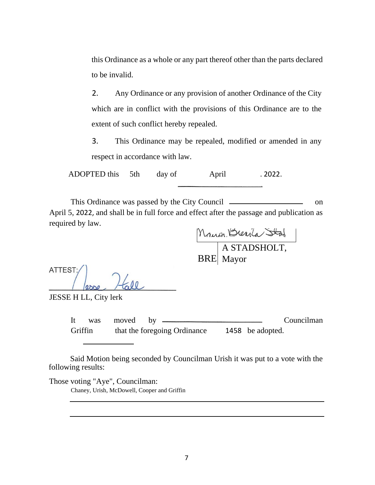this Ordinance as a whole or any part thereof other than the parts declared to be invalid.

2. Any Ordinance or any provision of another Ordinance of the City which are in conflict with the provisions of this Ordinance are to the extent of such conflict hereby repealed.

3. This Ordinance may be repealed, modified or amended in any respect in accordance with law.

ADOPTED this 5th day of April . 2022.

This Ordinance was passed by the City Council on April 5, 2022, and shall be in full force and effect after the passage and publication as required by law.

BRE A STADSHOLT, Mayor

ATTEST:

JESSE H LL, City lerk

It was moved by Councilman Griffin that the foregoing Ordinance 1458 be adopted.

Said Motion being seconded by Councilman Urish it was put to a vote with the following results:

Those voting "Aye", Councilman:

Chaney, Urish, McDowell, Cooper and Griffin